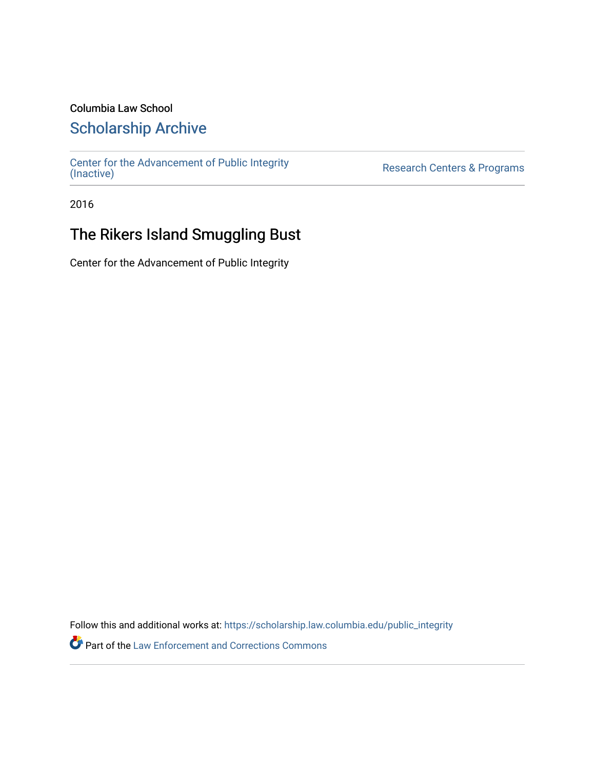### Columbia Law School

## [Scholarship Archive](https://scholarship.law.columbia.edu/)

[Center for the Advancement of Public Integrity](https://scholarship.law.columbia.edu/public_integrity)<br>(Inactive)

Research Centers & Programs

2016

# The Rikers Island Smuggling Bust

Center for the Advancement of Public Integrity

Follow this and additional works at: [https://scholarship.law.columbia.edu/public\\_integrity](https://scholarship.law.columbia.edu/public_integrity?utm_source=scholarship.law.columbia.edu%2Fpublic_integrity%2F85&utm_medium=PDF&utm_campaign=PDFCoverPages)

Part of the [Law Enforcement and Corrections Commons](http://network.bepress.com/hgg/discipline/854?utm_source=scholarship.law.columbia.edu%2Fpublic_integrity%2F85&utm_medium=PDF&utm_campaign=PDFCoverPages)